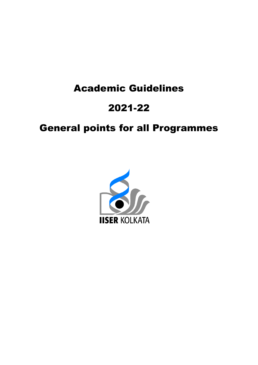# Academic Guidelines Academic 2021-22

## **General points for all Programmes**

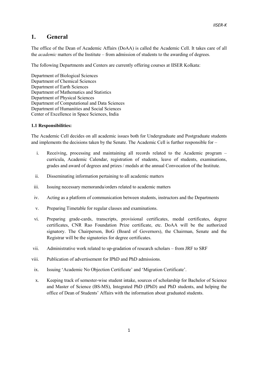### 1. General

The office of the Dean of Academic Affairs (DoAA) is called the Academic Cell. It takes care of all the academic matters of the Institute – from admission of students to the awarding of degrees.

The following Departments and Centers are currently offering courses at IISER Kolkata:

Department of Biological Sciences Department of Chemical Sciences Department of Earth Sciences Department of Mathematics and Statistics Department of Physical Sciences Department of Computational and Data Sciences Department of Humanities and Social Sciences Center of Excellence in Space Sciences, India

#### 1.1 Responsibilities:

The Academic Cell decides on all academic issues both for Undergraduate and Postgraduate students and implements the decisions taken by the Senate. The Academic Cell is further responsible for –

- i. Receiving, processing and maintaining all records related to the Academic program curricula, Academic Calendar, registration of students, leave of students, examinations, grades and award of degrees and prizes / medals at the annual Convocation of the Institute.
- ii. Disseminating information pertaining to all academic matters
- iii. Issuing necessary memoranda/orders related to academic matters
- iv. Acting as a platform of communication between students, instructors and the Departments
- v. Preparing Timetable for regular classes and examinations.
- vi. Preparing grade-cards, transcripts, provisional certificates, medal certificates, degree certificates, CNR Rao Foundation Prize certificate, etc. DoAA will be the authorized signatory. The Chairperson, BoG (Board of Governors), the Chairman, Senate and the Registrar will be the signatories for degree certificates.
- vii. Administrative work related to up-gradation of research scholars from JRF to SRF
- viii. Publication of advertisement for IPhD and PhD admissions.
- ix. Issuing 'Academic No Objection Certificate' and 'Migration Certificate'.
- x. Keeping track of semester-wise student intake, sources of scholarship for Bachelor of Science and Master of Science (BS-MS), Integrated PhD (IPhD) and PhD students, and helping the office of Dean of Students' Affairs with the information about graduated students.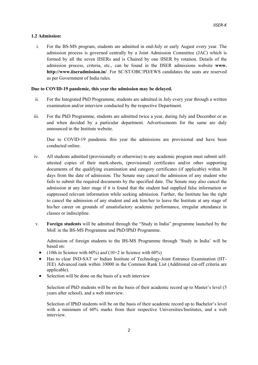#### 1.2 Admission:

i. For the BS-MS program, students are admitted in end-July or early August every year. The admission process is governed centrally by a Joint Admission Committee (JAC) which is formed by all the seven IISERs and is Chaired by one IISER by rotation. Details of the admission process, criteria, etc., can be found in the IISER admissions website www. http://www.iiseradmission.in/. For SC/ST/OBC/PD/EWS candidates the seats are reserved as per Government of India rules.

#### Due to COVID-19 pandemic, this year the admission may be delayed.

- ii. For the Integrated PhD Programme, students are admitted in July every year through a written examination and/or interview conducted by the respective Department.
- iii. For the PhD Programme, students are admitted twice a year, during July and December or as and when decided by a particular department. Advertisements for the same are duly announced in the Institute website.

Due to COVID-19 pandemic this year the admissions are provisional and have been conducted online.

- iv. All students admitted (provisionally or otherwise) to any academic program must submit selfattested copies of their mark-sheets, (provisional) certificates and/or other supporting documents of the qualifying examination and category certificates (if applicable) within 30 days from the date of admission. The Senate may cancel the admission of any student who fails to submit the required documents by the specified date. The Senate may also cancel the admission at any later stage if it is found that the student had supplied false information or suppressed relevant information while seeking admission. Further, the Institute has the right to cancel the admission of any student and ask him/her to leave the Institute at any stage of his/her career on grounds of unsatisfactory academic performance, irregular attendance in classes or indiscipline.
- v. Foreign students will be admitted through the "Study in India" programme launched by the MoE in the BS-MS Programme and PhD/IPhD Programme.

Admission of foreign students to the BS-MS Programme through 'Study in India' will be based on:

- (10th in Science with 60%) and (10+2 in Science with 60%)
- Has to clear IND-SAT or Indian Institute of Technology-Joint Entrance Examination (IIT-JEE) Advanced rank within 10000 in the Common Rank List (Additional cut-off criteria are applicable).
- Selection will be done on the basis of a web interview

Selection of PhD students will be on the basis of their academic record up to Master's level (5 years after school), and a web interview.

Selection of IPhD students will be on the basis of their academic record up to Bachelor's level with a minimum of 60% marks from their respective Universities/Institutes, and a web interview.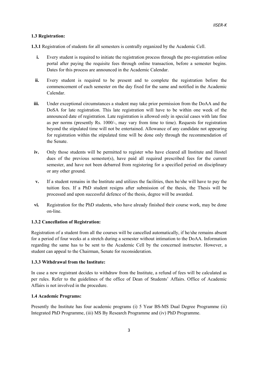#### 1.3 Registration:

1.3.1 Registration of students for all semesters is centrally organized by the Academic Cell.

- i. Every student is required to initiate the registration process through the pre-registration online portal after paying the requisite fees through online transaction, before a semester begins. Dates for this process are announced in the Academic Calendar.
- ii. Every student is required to be present and to complete the registration before the commencement of each semester on the day fixed for the same and notified in the Academic Calendar.
- iii. Under exceptional circumstances a student may take prior permission from the DoAA and the DoSA for late registration. This late registration will have to be within one week of the announced date of registration. Late registration is allowed only in special cases with late fine as per norms (presently Rs. 1000/-, may vary from time to time). Requests for registration beyond the stipulated time will not be entertained. Allowance of any candidate not appearing for registration within the stipulated time will be done only through the recommendation of the Senate.
- iv. Only those students will be permitted to register who have cleared all Institute and Hostel dues of the previous semester(s), have paid all required prescribed fees for the current semester, and have not been debarred from registering for a specified period on disciplinary or any other ground.
- v. If a student remains in the Institute and utilizes the facilities, then he/she will have to pay the tuition fees. If a PhD student resigns after submission of the thesis, the Thesis will be processed and upon successful defence of the thesis, degree will be awarded.
- vi. Registration for the PhD students, who have already finished their course work, may be done on-line.

#### 1.3.2 Cancellation of Registration:

Registration of a student from all the courses will be cancelled automatically, if he/she remains absent for a period of four weeks at a stretch during a semester without intimation to the DoAA. Information regarding the same has to be sent to the Academic Cell by the concerned instructor. However, a student can appeal to the Chairman, Senate for reconsideration.

#### 1.3.3 Withdrawal from the Institute:

In case a new registrant decides to withdraw from the Institute, a refund of fees will be calculated as per rules. Refer to the guidelines of the office of Dean of Students' Affairs. Office of Academic Affairs is not involved in the procedure.

#### 1.4 Academic Programs:

Presently the Institute has four academic programs (i) 5 Year BS-MS Dual Degree Programme (ii) Integrated PhD Programme, (iii) MS By Research Programme and (iv) PhD Programme.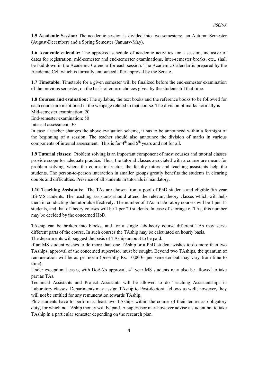1.5 Academic Session: The academic session is divided into two semesters: an Autumn Semester (August-December) and a Spring Semester (January-May).

1.6 Academic calendar: The approved schedule of academic activities for a session, inclusive of dates for registration, mid-semester and end-semester examinations, inter-semester breaks, etc., shall be laid down in the Academic Calendar for each session. The Academic Calendar is prepared by the Academic Cell which is formally announced after approval by the Senate.

1.7 Timetable: Timetable for a given semester will be finalized before the end-semester examination of the previous semester, on the basis of course choices given by the students till that time.

1.8 Courses and evaluation: The syllabus, the text books and the reference books to be followed for each course are mentioned in the webpage related to that course. The division of marks normally is Mid-semester examination: 20

End-semester examination: 50

Internal assessment: 30

In case a teacher changes the above evaluation scheme, it has to be announced within a fortnight of the beginning of a session. The teacher should also announce the division of marks in various components of internal assessment. This is for  $4<sup>th</sup>$  and  $5<sup>th</sup>$  years and not for all.

1.9 Tutorial classes: Problem solving is an important component of most courses and tutorial classes provide scope for adequate practice. Thus, the tutorial classes associated with a course are meant for problem solving, where the course instructor, the faculty tutors and teaching assistants help the students. The person-to-person interaction in smaller groups greatly benefits the students in clearing doubts and difficulties. Presence of all students in tutorials is mandatory.

1.10 Teaching Assistants: The TAs are chosen from a pool of PhD students and eligible 5th year BS-MS students. The teaching assistants should attend the relevant theory classes which will help them in conducting the tutorials effectively. The number of TAs in laboratory courses will be 1 per 15 students, and that of theory courses will be 1 per 20 students. In case of shortage of TAs, this number may be decided by the concerned HoD.

TAship can be broken into blocks, and for a single lab/theory course different TAs may serve different parts of the course. In such courses the TAship may be calculated on hourly basis.

The departments will suggest the basis of TAship amount to be paid.

If an MS student wishes to do more than one TAship or a PhD student wishes to do more than two TAships, approval of the concerned supervisor must be sought. Beyond two TAships, the quantum of remuneration will be as per norm (presently Rs. 10,000/- per semester but may vary from time to time).

Under exceptional cases, with DoAA's approval,  $4<sup>th</sup>$  year MS students may also be allowed to take part as TAs.

Technical Assistants and Project Assistants will be allowed to do Teaching Assistantships in Laboratory classes. Departments may assign TAship to Post-doctoral fellows as well; however, they will not be entitled for any remuneration towards TAship.

PhD students have to perform at least two TAships within the course of their tenure as obligatory duty, for which no TAship money will be paid. A supervisor may however advise a student not to take TAship in a particular semester depending on the research plan.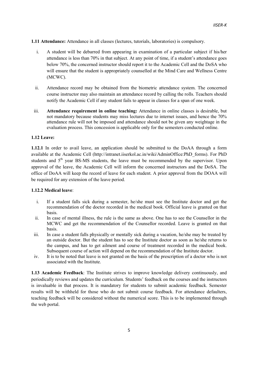1.11 Attendance: Attendance in all classes (lectures, tutorials, laboratories) is compulsory.

- i. A student will be debarred from appearing in examination of a particular subject if his/her attendance is less than 70% in that subject. At any point of time, if a student's attendance goes below 70%, the concerned instructor should report it to the Academic Cell and the DoSA who will ensure that the student is appropriately counselled at the Mind Care and Wellness Centre (MCWC).
- ii. Attendance record may be obtained from the biometric attendance system. The concerned course instructor may also maintain an attendance record by calling the rolls. Teachers should notify the Academic Cell if any student fails to appear in classes for a span of one week.
- iii. Attendance requirement in online teaching: Attendance in online classes is desirable, but not mandatory because students may miss lectures due to internet issues, and hence the 70% attendance rule will not be imposed and attendance should not be given any weightage in the evaluation process. This concession is applicable only for the semesters conducted online.

#### 1.12 Leave:

1.12.1 In order to avail leave, an application should be submitted to the DoAA through a form available at the Academic Cell (http://intranet.iiserkol.ac.in/wiki/AdminOffice:PhD\_forms). For PhD students and  $5<sup>th</sup>$  year BS-MS students, the leave must be recommended by the supervisor. Upon approval of the leave, the Academic Cell will inform the concerned instructors and the DoSA. The office of DoAA will keep the record of leave for each student. A prior approval from the DOAA will be required for any extension of the leave period.

#### 1.12.2 Medical leave:

- i. If a student falls sick during a semester, he/she must see the Institute doctor and get the recommendation of the doctor recorded in the medical book. Official leave is granted on that basis.
- ii. In case of mental illness, the rule is the same as above. One has to see the Counsellor in the MCWC and get the recommendation of the Counsellor recorded. Leave is granted on that basis.
- iii. In case a student falls physically or mentally sick during a vacation, he/she may be treated by an outside doctor. But the student has to see the Institute doctor as soon as he/she returns to the campus, and has to get ailment and course of treatment recorded in the medical book. Subsequent course of action will depend on the recommendation of the Institute doctor.
- iv. It is to be noted that leave is not granted on the basis of the prescription of a doctor who is not associated with the Institute.

1.13 Academic Feedback: The Institute strives to improve knowledge delivery continuously, and periodically reviews and updates the curriculum. Students' feedback on the courses and the instructors is invaluable in that process. It is mandatory for students to submit academic feedback. Semester results will be withheld for those who do not submit course feedback. For attendance defaulters, teaching feedback will be considered without the numerical score. This is to be implemented through the web portal.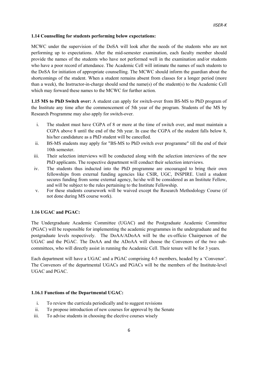#### 1.14 Counselling for students performing below expectations:

MCWC under the supervision of the DoSA will look after the needs of the students who are not performing up to expectations. After the mid-semester examination, each faculty member should provide the names of the students who have not performed well in the examination and/or students who have a poor record of attendance. The Academic Cell will intimate the names of such students to the DoSA for initiation of appropriate counselling. The MCWC should inform the guardian about the shortcomings of the student. When a student remains absent from classes for a longer period (more than a week), the Instructor-in-charge should send the name(s) of the student(s) to the Academic Cell which may forward these names to the MCWC for further action.

1.15 MS to PhD Switch over: A student can apply for switch-over from BS-MS to PhD program of the Institute any time after the commencement of 5th year of the program. Students of the MS by Research Programme may also apply for switch-over.

- i. The student must have CGPA of 8 or more at the time of switch over, and must maintain a CGPA above 8 until the end of the 5th year. In case the CGPA of the student falls below 8, his/her candidature as a PhD student will be cancelled.
- ii. BS-MS students may apply for "BS-MS to PhD switch over programme" till the end of their 10th semester.
- iii. Their selection interviews will be conducted along with the selection interviews of the new PhD applicants. The respective department will conduct their selection interviews.
- iv. The students thus inducted into the PhD programme are encouraged to bring their own fellowships from external funding agencies like CSIR, UGC, INSPIRE. Until a student secures funding from some external agency, he/she will be considered as an Institute Fellow, and will be subject to the rules pertaining to the Institute Fellowship.
- v. For these students coursework will be waived except the Research Methodology Course (if not done during MS course work).

#### 1.16 UGAC and PGAC:

The Undergraduate Academic Committee (UGAC) and the Postgraduate Academic Committee (PGAC) will be responsible for implementing the academic programmes in the undergraduate and the postgraduate levels respectively. The DoAA/ADoAA will be the ex-officio Chairperson of the UGAC and the PGAC. The DoAA and the ADoAA will choose the Convenors of the two subcommittees, who will directly assist in running the Academic Cell. Their tenure will be for 3 years.

Each department will have a UGAC and a PGAC comprising 4-5 members, headed by a 'Convenor'. The Convenors of the departmental UGACs and PGACs will be the members of the Institute-level UGAC and PGAC.

#### 1.16.1 Functions of the Departmental UGAC:

- i. To review the curricula periodically and to suggest revisions
- ii. To propose introduction of new courses for approval by the Senate
- iii. To advise students in choosing the elective courses wisely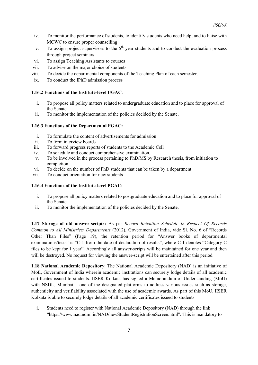- iv. To monitor the performance of students, to identify students who need help, and to liaise with MCWC to ensure proper counselling
- v. To assign project supervisors to the  $5<sup>th</sup>$  year students and to conduct the evaluation process through project seminars
- vi. To assign Teaching Assistants to courses
- vii. To advise on the major choice of students
- viii. To decide the departmental components of the Teaching Plan of each semester.
- ix. To conduct the IPhD admission process

#### 1.16.2 Functions of the Institute-level UGAC:

- i. To propose all policy matters related to undergraduate education and to place for approval of the Senate.
- ii. To monitor the implementation of the policies decided by the Senate.

#### 1.16.3 Functions of the Departmental PGAC:

- i. To formulate the content of advertisements for admission
- ii. To form interview boards
- iii. To forward progress reports of students to the Academic Cell
- iv. To schedule and conduct comprehensive examination,
- v. To be involved in the process pertaining to PhD/MS by Research thesis, from initiation to completion
- vi. To decide on the number of PhD students that can be taken by a department
- vii. To conduct orientation for new students

#### 1.16.4 Functions of the Institute-level PGAC:

- i. To propose all policy matters related to postgraduate education and to place for approval of the Senate.
- ii. To monitor the implementation of the policies decided by the Senate.

1.17 Storage of old answer-scripts: As per Record Retention Schedule In Respect Of Records Common to All Ministries/ Departments (2012), Government of India, vide Sl. No. 6 of "Records Other Than Files" (Page 19), the retention period for "Answer books of departmental examinations/tests" is "C-1 from the date of declaration of results", where C-1 denotes "Category C files to be kept for 1 year". Accordingly all answer-scripts will be maintained for one year and then will be destroyed. No request for viewing the answer-script will be entertained after this period.

1.18 National Academic Depository: The National Academic Depository (NAD) is an initiative of MoE, Government of India wherein academic institutions can securely lodge details of all academic certificates issued to students. IISER Kolkata has signed a Memorandum of Understanding (MoU) with NSDL, Mumbai – one of the designated platforms to address various issues such as storage, authenticity and verifiability associated with the use of academic awards. As part of this MoU, IISER Kolkata is able to securely lodge details of all academic certificates issued to students.

i. Students need to register with National Academic Depository (NAD) through the link "https://www.nad.ndml.in/NAD/newStudentRegistrationScreen.html". This is mandatory to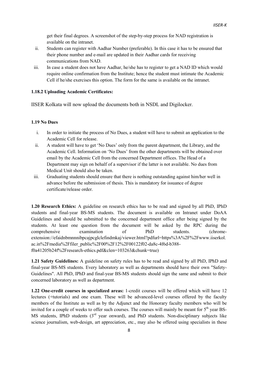get their final degrees. A screenshot of the step-by-step process for NAD registration is available on the intranet.

- ii. Students can register with Aadhar Number (preferable). In this case it has to be ensured that their phone number and e-mail are updated in their Aadhar cards for receiving communications from NAD.
- iii. In case a student does not have Aadhar, he/she has to register to get a NAD ID which would require online confirmation from the Institute; hence the student must intimate the Academic Cell if he/she exercises this option. The form for the same is available on the intranet.

#### 1.18.2 Uploading Academic Certificates:

IISER Kolkata will now upload the documents both in NSDL and Digilocker.

#### 1.19 No Dues

- i. In order to initiate the process of No Dues, a student will have to submit an application to the Academic Cell for release.
- ii. A student will have to get 'No Dues' only from the parent department, the Library, and the Academic Cell. Information on 'No Dues' from the other departments will be obtained over email by the Academic Cell from the concerned Department offices. The Head of a Department may sign on behalf of a supervisor if the latter is not available. No dues from Medical Unit should also be taken.
- iii. Graduating students should ensure that there is nothing outstanding against him/her well in advance before the submission of thesis. This is mandatory for issuance of degree certificate/release order.

1.20 Research Ethics: A guideline on research ethics has to be read and signed by all PhD, IPhD students and final-year BS-MS students. The document is available on Intranet under DoAA Guidelines and should be submitted to the concerned department office after being signed by the students. At least one question from the document will be asked by the RPC during the comprehensive examination of PhD students. (chromeextension://efaidnbmnnnibpcajpcglclefindmkaj/viewer.html?pdfurl=https%3A%2F%2Fwww.iiserkol. ac.in%2Fmedia%2Ffiler\_public%2F00%2F12%2F00122f02-da8c-4f6d-b388 f0a41205b24f%2Fresearch-ethics.pdf&clen=103263&chunk=true)

1.21 Safety Guidelines: A guideline on safety rules has to be read and signed by all PhD, IPhD and final-year BS-MS students. Every laboratory as well as departments should have their own "Safety-Guidelines". All PhD, IPhD and final-year BS-MS students should sign the same and submit to their concerned laboratory as well as department.

1.22 One-credit courses in specialized areas: 1-credit courses will be offered which will have 12 lectures (+tutorials) and one exam. These will be advanced-level courses offered by the faculty members of the Institute as well as by the Adjunct and the Honorary faculty members who will be invited for a couple of weeks to offer such courses. The courses will mainly be meant for  $5<sup>th</sup>$  year BS-MS students, IPhD students  $3<sup>rd</sup>$  year onward), and PhD students. Non-disciplinary subjects like science journalism, web-design, art appreciation, etc., may also be offered using specialists in these